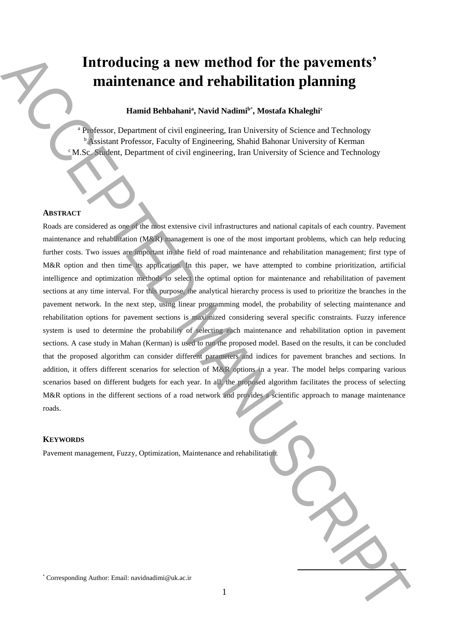# **Introducing a new method for the pavements' maintenance and rehabilitation planning**

## **Hamid Behbahani<sup>a</sup> , Navid Nadimi<sup>b</sup>**\* **, Mostafa Khaleghi<sup>c</sup>**

<sup>a</sup> Professor, Department of civil engineering, Iran University of Science and Technology <sup>b</sup>Assistant Professor, Faculty of Engineering, Shahid Bahonar University of Kerman  $c$ M.Sc. Student, Department of civil engineering, Iran University of Science and Technology

#### **ABSTRACT**

Roads are considered as one of the most extensive civil infrastructures and national capitals of each country. Pavement maintenance and rehabilitation (M&R) management is one of the most important problems, which can help reducing further costs. Two issues are important in the field of road maintenance and rehabilitation management; first type of M&R option and then time its application. In this paper, we have attempted to combine prioritization, artificial intelligence and optimization methods to select the optimal option for maintenance and rehabilitation of pavement sections at any time interval. For this purpose, the analytical hierarchy process is used to prioritize the branches in the pavement network. In the next step, using linear programming model, the probability of selecting maintenance and rehabilitation options for pavement sections is maximized considering several specific constraints. Fuzzy inference system is used to determine the probability of selecting each maintenance and rehabilitation option in pavement sections. A case study in Mahan (Kerman) is used to run the proposed model. Based on the results, it can be concluded that the proposed algorithm can consider different parameters and indices for pavement branches and sections. In addition, it offers different scenarios for selection of M&R options in a year. The model helps comparing various scenarios based on different budgets for each year. In all, the proposed algorithm facilitates the process of selecting M&R options in the different sections of a road network and provides a scientific approach to manage maintenance roads. Introducing a new method for the pavements'<br>
maintenance and rehabilitation planning<br>
the station "Newton Schules" Newton Schules" Newton Testing<br>
The corresponding Authorities and the stationary of Schules University of

#### **KEYWORDS**

Pavement management, Fuzzy, Optimization, Maintenance and rehabilitation.

 $\overline{a}$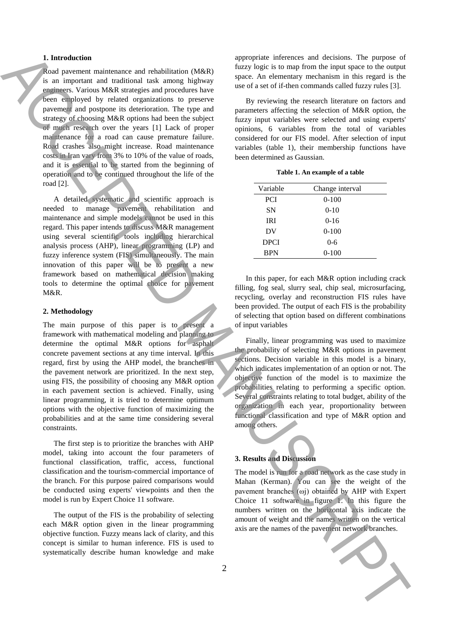### **1. Introduction**

Road pavement maintenance and rehabilitation (M&R) is an important and traditional task among highway engineers. Various M&R strategies and procedures have been employed by related organizations to preserve pavement and postpone its deterioration. The type and strategy of choosing M&R options had been the subject of much research over the years [1] Lack of proper maintenance for a road can cause premature failure. Road crashes also might increase. Road maintenance costs in Iran vary from 3% to 10% of the value of roads, and it is essential to be started from the beginning of operation and to be continued throughout the life of the road [2]. **axis are the names of continuous control in the names of the names of the names of the names of the names of the names of the names of the pavel in the names of the names of the names of the names of the names of the nam** 

A detailed systematic and scientific approach is needed to manage pavement rehabilitation and maintenance and simple models cannot be used in this regard. This paper intends to discuss M&R management using several scientific tools including hierarchical analysis process (AHP), linear programming (LP) and fuzzy inference system (FIS) simultaneously. The main innovation of this paper will be to present a new framework based on mathematical decision making tools to determine the optimal choice for pavement M&R.

### **2. Methodology**

The main purpose of this paper is to present a framework with mathematical modeling and planning to determine the optimal M&R options for asphalt concrete pavement sections at any time interval. In this regard, first by using the AHP model, the branches in the pavement network are prioritized. In the next step, using FIS, the possibility of choosing any M&R option in each pavement section is achieved. Finally, using linear programming, it is tried to determine optimum options with the objective function of maximizing the probabilities and at the same time considering several constraints.

The first step is to prioritize the branches with AHP model, taking into account the four parameters of functional classification, traffic, access, functional classification and the tourism-commercial importance of the branch. For this purpose paired comparisons would be conducted using experts' viewpoints and then the model is run by Expert Choice 11 software.

The output of the FIS is the probability of selecting each M&R option given in the linear programming objective function. Fuzzy means lack of clarity, and this concept is similar to human inference. FIS is used to systematically describe human knowledge and make appropriate inferences and decisions. The purpose of fuzzy logic is to map from the input space to the output space. An elementary mechanism in this regard is the use of a set of if-then commands called fuzzy rules [3].

By reviewing the research literature on factors and parameters affecting the selection of M&R option, the fuzzy input variables were selected and using experts' opinions, 6 variables from the total of variables considered for our FIS model. After selection of input variables (table 1), their membership functions have been determined as Gaussian.

| Variable    | Change interval |  |
|-------------|-----------------|--|
| <b>PCI</b>  | $0-100$         |  |
| <b>SN</b>   | $0-10$          |  |
| IRI         | $0-16$          |  |
| DV          | $0-100$         |  |
| <b>DPCI</b> | $0 - 6$         |  |
| <b>BPN</b>  | $0 - 100$       |  |

**Table 1. An example of a table**

In this paper, for each M&R option including crack filling, fog seal, slurry seal, chip seal, microsurfacing, recycling, overlay and reconstruction FIS rules have been provided. The output of each FIS is the probability of selecting that option based on different combinations of input variables

Finally, linear programming was used to maximize the probability of selecting M&R options in pavement sections. Decision variable in this model is a binary, which indicates implementation of an option or not. The objective function of the model is to maximize the probabilities relating to performing a specific option. Several constraints relating to total budget, ability of the organization in each year, proportionality between functional classification and type of M&R option and among others.

# **3. Results and Discussion**

The model is run for a road network as the case study in Mahan (Kerman). You can see the weight of the pavement branches (ωj) obtained by AHP with Expert Choice 11 software in figure 1. In this figure the numbers written on the horizontal axis indicate the amount of weight and the names written on the vertical